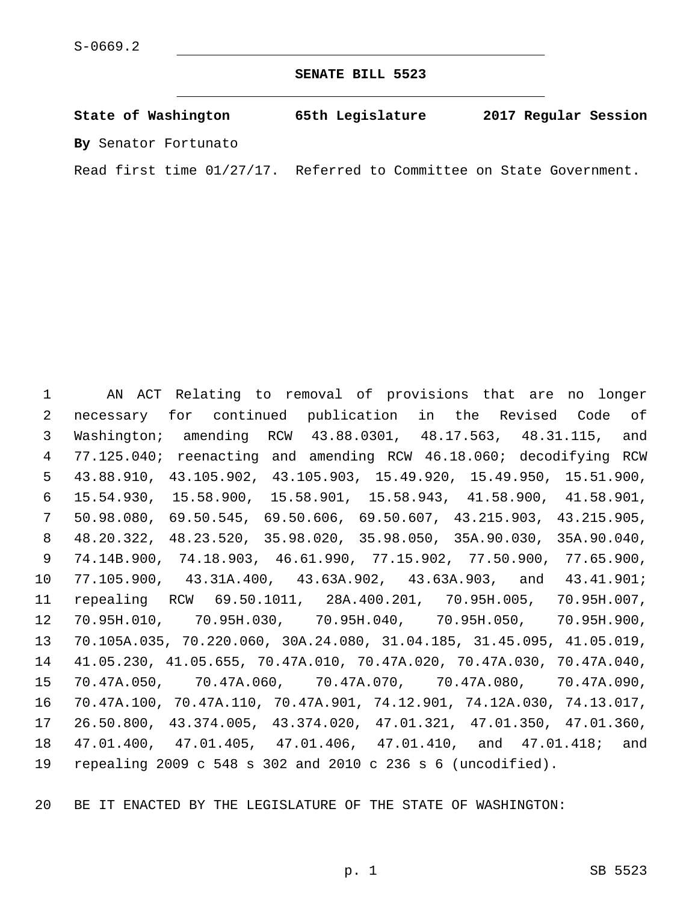**SENATE BILL 5523**

**State of Washington 65th Legislature 2017 Regular Session By** Senator Fortunato

Read first time 01/27/17. Referred to Committee on State Government.

 AN ACT Relating to removal of provisions that are no longer necessary for continued publication in the Revised Code of Washington; amending RCW 43.88.0301, 48.17.563, 48.31.115, and 77.125.040; reenacting and amending RCW 46.18.060; decodifying RCW 43.88.910, 43.105.902, 43.105.903, 15.49.920, 15.49.950, 15.51.900, 15.54.930, 15.58.900, 15.58.901, 15.58.943, 41.58.900, 41.58.901, 50.98.080, 69.50.545, 69.50.606, 69.50.607, 43.215.903, 43.215.905, 48.20.322, 48.23.520, 35.98.020, 35.98.050, 35A.90.030, 35A.90.040, 74.14B.900, 74.18.903, 46.61.990, 77.15.902, 77.50.900, 77.65.900, 77.105.900, 43.31A.400, 43.63A.902, 43.63A.903, and 43.41.901; repealing RCW 69.50.1011, 28A.400.201, 70.95H.005, 70.95H.007, 70.95H.010, 70.95H.030, 70.95H.040, 70.95H.050, 70.95H.900, 70.105A.035, 70.220.060, 30A.24.080, 31.04.185, 31.45.095, 41.05.019, 41.05.230, 41.05.655, 70.47A.010, 70.47A.020, 70.47A.030, 70.47A.040, 70.47A.050, 70.47A.060, 70.47A.070, 70.47A.080, 70.47A.090, 70.47A.100, 70.47A.110, 70.47A.901, 74.12.901, 74.12A.030, 74.13.017, 26.50.800, 43.374.005, 43.374.020, 47.01.321, 47.01.350, 47.01.360, 47.01.400, 47.01.405, 47.01.406, 47.01.410, and 47.01.418; and repealing 2009 c 548 s 302 and 2010 c 236 s 6 (uncodified).

BE IT ENACTED BY THE LEGISLATURE OF THE STATE OF WASHINGTON: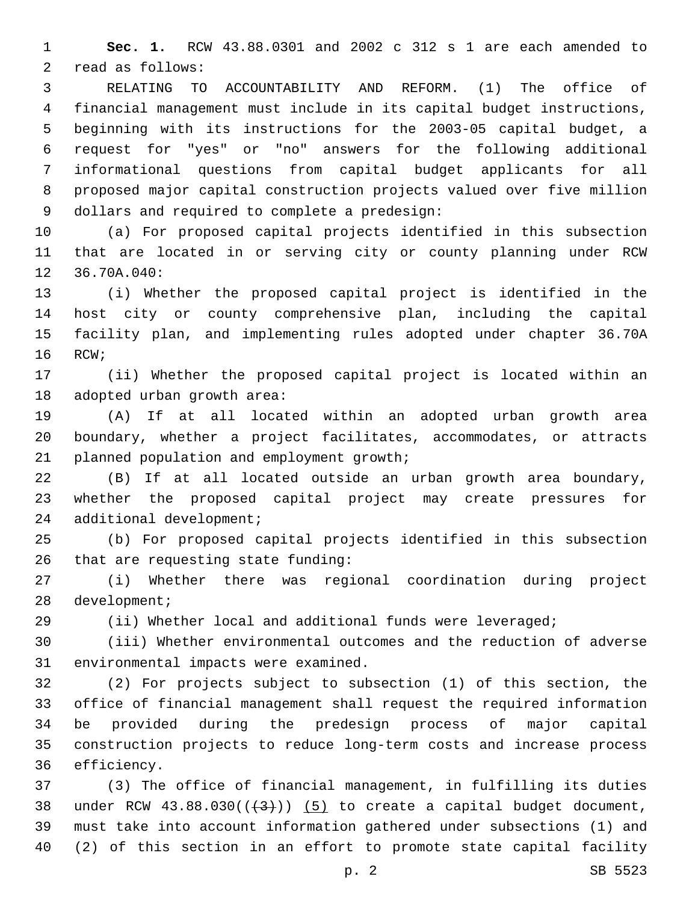**Sec. 1.** RCW 43.88.0301 and 2002 c 312 s 1 are each amended to 2 read as follows:

 RELATING TO ACCOUNTABILITY AND REFORM. (1) The office of financial management must include in its capital budget instructions, beginning with its instructions for the 2003-05 capital budget, a request for "yes" or "no" answers for the following additional informational questions from capital budget applicants for all proposed major capital construction projects valued over five million 9 dollars and required to complete a predesign:

 (a) For proposed capital projects identified in this subsection that are located in or serving city or county planning under RCW 12 36.70A.040:

 (i) Whether the proposed capital project is identified in the host city or county comprehensive plan, including the capital facility plan, and implementing rules adopted under chapter 36.70A 16 RCW;

 (ii) Whether the proposed capital project is located within an 18 adopted urban growth area:

 (A) If at all located within an adopted urban growth area boundary, whether a project facilitates, accommodates, or attracts 21 planned population and employment growth;

 (B) If at all located outside an urban growth area boundary, whether the proposed capital project may create pressures for 24 additional development;

 (b) For proposed capital projects identified in this subsection 26 that are requesting state funding:

 (i) Whether there was regional coordination during project 28 development;

(ii) Whether local and additional funds were leveraged;

 (iii) Whether environmental outcomes and the reduction of adverse 31 environmental impacts were examined.

 (2) For projects subject to subsection (1) of this section, the office of financial management shall request the required information be provided during the predesign process of major capital construction projects to reduce long-term costs and increase process 36 efficiency.

 (3) The office of financial management, in fulfilling its duties 38 under RCW  $43.88.030((+3))$   $(5)$  to create a capital budget document, must take into account information gathered under subsections (1) and (2) of this section in an effort to promote state capital facility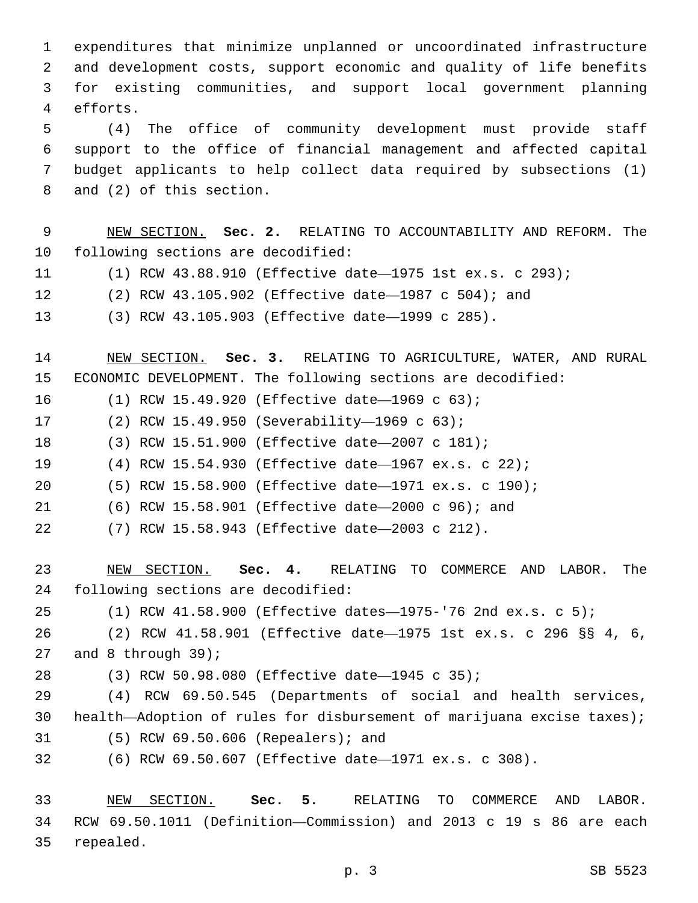expenditures that minimize unplanned or uncoordinated infrastructure and development costs, support economic and quality of life benefits for existing communities, and support local government planning 4 efforts.

 (4) The office of community development must provide staff support to the office of financial management and affected capital budget applicants to help collect data required by subsections (1) 8 and (2) of this section.

 NEW SECTION. **Sec. 2.** RELATING TO ACCOUNTABILITY AND REFORM. The following sections are decodified:

- (1) RCW 43.88.910 (Effective date—1975 1st ex.s. c 293);
- (2) RCW 43.105.902 (Effective date—1987 c 504); and
- (3) RCW 43.105.903 (Effective date—1999 c 285).

 NEW SECTION. **Sec. 3.** RELATING TO AGRICULTURE, WATER, AND RURAL ECONOMIC DEVELOPMENT. The following sections are decodified:

- 16 (1) RCW 15.49.920 (Effective date-1969 c 63);
- 17 (2) RCW 15.49.950 (Severability—1969 c 63);
- (3) RCW 15.51.900 (Effective date—2007 c 181);
- (4) RCW 15.54.930 (Effective date—1967 ex.s. c 22);
- (5) RCW 15.58.900 (Effective date—1971 ex.s. c 190);
- (6) RCW 15.58.901 (Effective date—2000 c 96); and
- (7) RCW 15.58.943 (Effective date—2003 c 212).

 NEW SECTION. **Sec. 4.** RELATING TO COMMERCE AND LABOR. The following sections are decodified:

(1) RCW 41.58.900 (Effective dates—1975-'76 2nd ex.s. c 5);

 (2) RCW 41.58.901 (Effective date—1975 1st ex.s. c 296 §§ 4, 6, 27 and 8 through ;

(3) RCW 50.98.080 (Effective date—1945 c 35);28

 (4) RCW 69.50.545 (Departments of social and health services, health—Adoption of rules for disbursement of marijuana excise taxes); (5) RCW 69.50.606 (Repealers); and31

(6) RCW 69.50.607 (Effective date—1971 ex.s. c 308).

 NEW SECTION. **Sec. 5.** RELATING TO COMMERCE AND LABOR. RCW 69.50.1011 (Definition—Commission) and 2013 c 19 s 86 are each repealed.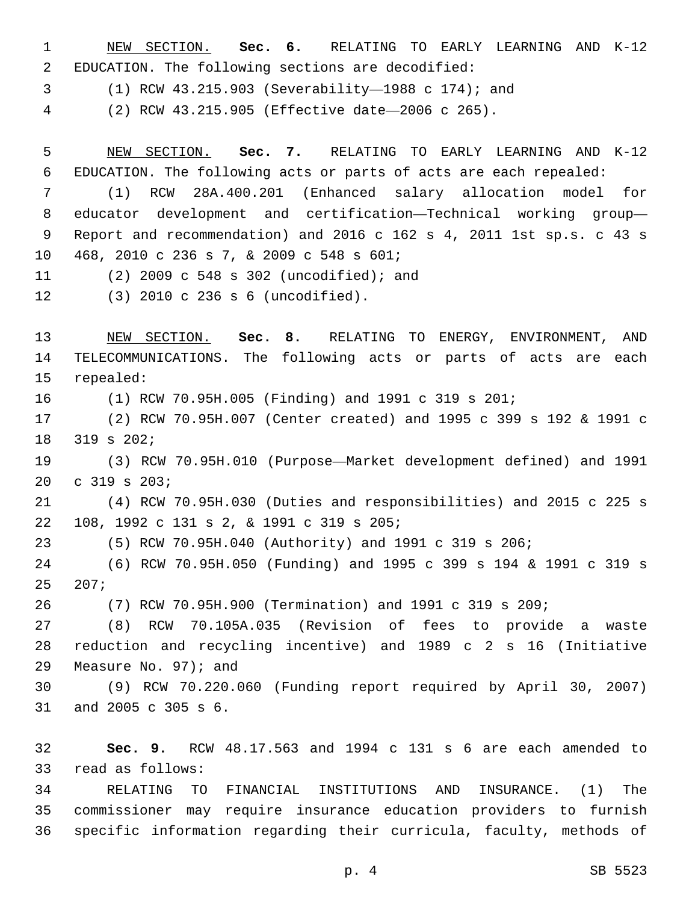NEW SECTION. **Sec. 6.** RELATING TO EARLY LEARNING AND K-12 EDUCATION. The following sections are decodified:

(1) RCW 43.215.903 (Severability—1988 c 174); and

(2) RCW 43.215.905 (Effective date—2006 c 265).

 NEW SECTION. **Sec. 7.** RELATING TO EARLY LEARNING AND K-12 EDUCATION. The following acts or parts of acts are each repealed:

 (1) RCW 28A.400.201 (Enhanced salary allocation model for educator development and certification—Technical working group— Report and recommendation) and 2016 c 162 s 4, 2011 1st sp.s. c 43 s 10 468, 2010 c 236 s 7, & 2009 c 548 s 601;

(2) 2009 c 548 s 302 (uncodified); and11

(3) 2010 c 236 s 6 (uncodified).12

 NEW SECTION. **Sec. 8.** RELATING TO ENERGY, ENVIRONMENT, AND TELECOMMUNICATIONS. The following acts or parts of acts are each repealed: (1) RCW 70.95H.005 (Finding) and 1991 c 319 s 201;

 (2) RCW 70.95H.007 (Center created) and 1995 c 399 s 192 & 1991 c 18 319 s 202;

 (3) RCW 70.95H.010 (Purpose—Market development defined) and 1991 20 c 319 s 203;

 (4) RCW 70.95H.030 (Duties and responsibilities) and 2015 c 225 s 108, 1992 c 131 s 2, & 1991 c 319 s 205;22

(5) RCW 70.95H.040 (Authority) and 1991 c 319 s 206;

 (6) RCW 70.95H.050 (Funding) and 1995 c 399 s 194 & 1991 c 319 s 207;

(7) RCW 70.95H.900 (Termination) and 1991 c 319 s 209;

 (8) RCW 70.105A.035 (Revision of fees to provide a waste reduction and recycling incentive) and 1989 c 2 s 16 (Initiative 29 Measure No. ); and

 (9) RCW 70.220.060 (Funding report required by April 30, 2007) 31 and 2005 c 305 s 6.

 **Sec. 9.** RCW 48.17.563 and 1994 c 131 s 6 are each amended to 33 read as follows:

 RELATING TO FINANCIAL INSTITUTIONS AND INSURANCE. (1) The commissioner may require insurance education providers to furnish specific information regarding their curricula, faculty, methods of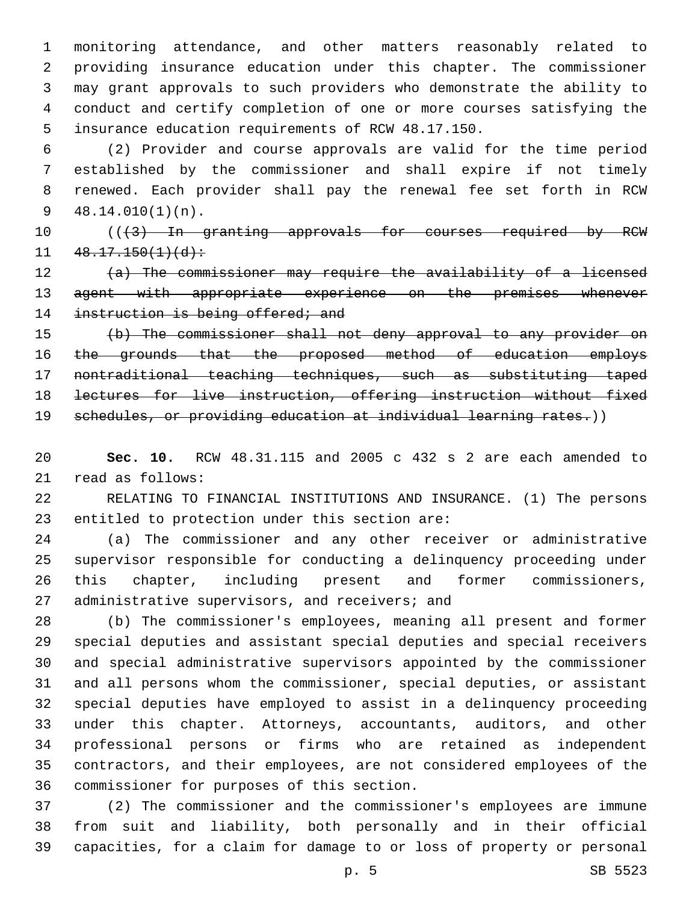monitoring attendance, and other matters reasonably related to providing insurance education under this chapter. The commissioner may grant approvals to such providers who demonstrate the ability to conduct and certify completion of one or more courses satisfying the 5 insurance education requirements of RCW 48.17.150.

 (2) Provider and course approvals are valid for the time period established by the commissioner and shall expire if not timely renewed. Each provider shall pay the renewal fee set forth in RCW 48.14.010(1)(n).

10 (((3) In granting approvals for courses required by RCW  $11 \quad 48.17.150(1)(d)$ :

 (a) The commissioner may require the availability of a licensed 13 agent with appropriate experience on the premises whenever 14 instruction is being offered; and

 (b) The commissioner shall not deny approval to any provider on the grounds that the proposed method of education employs nontraditional teaching techniques, such as substituting taped lectures for live instruction, offering instruction without fixed

19 schedules, or providing education at individual learning rates.))

 **Sec. 10.** RCW 48.31.115 and 2005 c 432 s 2 are each amended to 21 read as follows:

 RELATING TO FINANCIAL INSTITUTIONS AND INSURANCE. (1) The persons 23 entitled to protection under this section are:

 (a) The commissioner and any other receiver or administrative supervisor responsible for conducting a delinquency proceeding under this chapter, including present and former commissioners, 27 administrative supervisors, and receivers; and

 (b) The commissioner's employees, meaning all present and former special deputies and assistant special deputies and special receivers and special administrative supervisors appointed by the commissioner and all persons whom the commissioner, special deputies, or assistant special deputies have employed to assist in a delinquency proceeding under this chapter. Attorneys, accountants, auditors, and other professional persons or firms who are retained as independent contractors, and their employees, are not considered employees of the 36 commissioner for purposes of this section.

 (2) The commissioner and the commissioner's employees are immune from suit and liability, both personally and in their official capacities, for a claim for damage to or loss of property or personal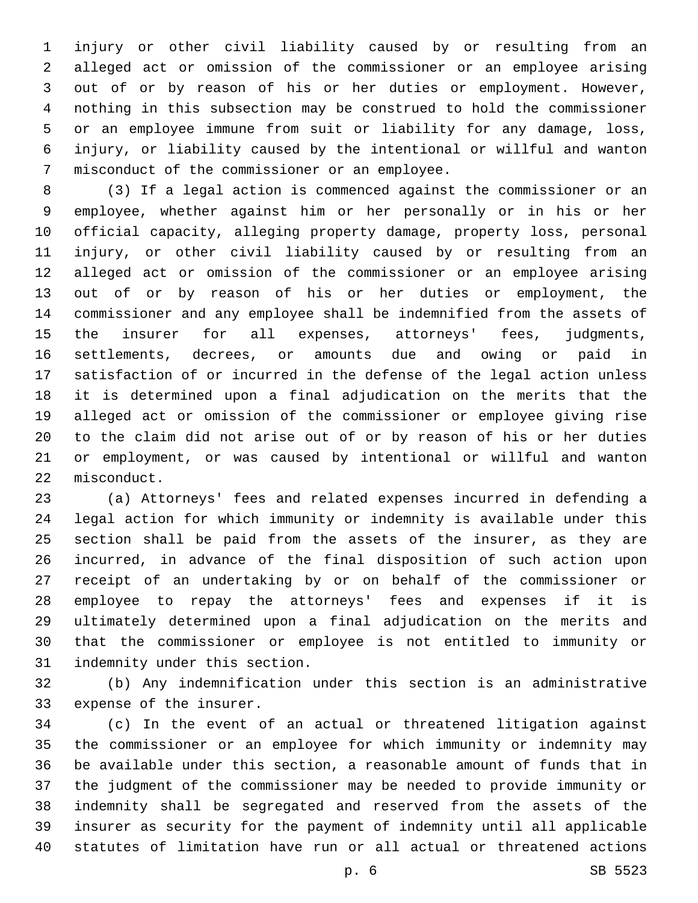injury or other civil liability caused by or resulting from an alleged act or omission of the commissioner or an employee arising out of or by reason of his or her duties or employment. However, nothing in this subsection may be construed to hold the commissioner or an employee immune from suit or liability for any damage, loss, injury, or liability caused by the intentional or willful and wanton 7 misconduct of the commissioner or an employee.

 (3) If a legal action is commenced against the commissioner or an employee, whether against him or her personally or in his or her official capacity, alleging property damage, property loss, personal injury, or other civil liability caused by or resulting from an alleged act or omission of the commissioner or an employee arising out of or by reason of his or her duties or employment, the commissioner and any employee shall be indemnified from the assets of the insurer for all expenses, attorneys' fees, judgments, settlements, decrees, or amounts due and owing or paid in satisfaction of or incurred in the defense of the legal action unless it is determined upon a final adjudication on the merits that the alleged act or omission of the commissioner or employee giving rise to the claim did not arise out of or by reason of his or her duties or employment, or was caused by intentional or willful and wanton 22 misconduct.

 (a) Attorneys' fees and related expenses incurred in defending a legal action for which immunity or indemnity is available under this section shall be paid from the assets of the insurer, as they are incurred, in advance of the final disposition of such action upon receipt of an undertaking by or on behalf of the commissioner or employee to repay the attorneys' fees and expenses if it is ultimately determined upon a final adjudication on the merits and that the commissioner or employee is not entitled to immunity or 31 indemnity under this section.

 (b) Any indemnification under this section is an administrative 33 expense of the insurer.

 (c) In the event of an actual or threatened litigation against the commissioner or an employee for which immunity or indemnity may be available under this section, a reasonable amount of funds that in the judgment of the commissioner may be needed to provide immunity or indemnity shall be segregated and reserved from the assets of the insurer as security for the payment of indemnity until all applicable statutes of limitation have run or all actual or threatened actions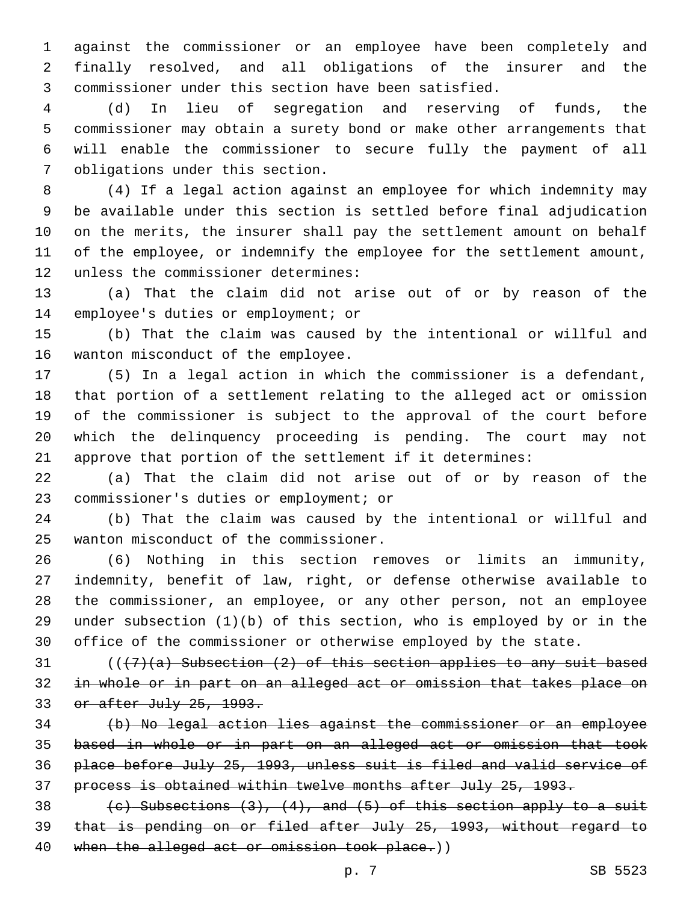against the commissioner or an employee have been completely and finally resolved, and all obligations of the insurer and the commissioner under this section have been satisfied.

 (d) In lieu of segregation and reserving of funds, the commissioner may obtain a surety bond or make other arrangements that will enable the commissioner to secure fully the payment of all 7 obligations under this section.

 (4) If a legal action against an employee for which indemnity may be available under this section is settled before final adjudication on the merits, the insurer shall pay the settlement amount on behalf of the employee, or indemnify the employee for the settlement amount, 12 unless the commissioner determines:

 (a) That the claim did not arise out of or by reason of the 14 employee's duties or employment; or

 (b) That the claim was caused by the intentional or willful and 16 wanton misconduct of the employee.

 (5) In a legal action in which the commissioner is a defendant, that portion of a settlement relating to the alleged act or omission of the commissioner is subject to the approval of the court before which the delinquency proceeding is pending. The court may not approve that portion of the settlement if it determines:

 (a) That the claim did not arise out of or by reason of the 23 commissioner's duties or employment; or

 (b) That the claim was caused by the intentional or willful and 25 wanton misconduct of the commissioner.

 (6) Nothing in this section removes or limits an immunity, indemnity, benefit of law, right, or defense otherwise available to the commissioner, an employee, or any other person, not an employee under subsection (1)(b) of this section, who is employed by or in the office of the commissioner or otherwise employed by the state.

 $((\frac{7}{a})$  Subsection  $(2)$  of this section applies to any suit based in whole or in part on an alleged act or omission that takes place on or after July 25, 1993.

 (b) No legal action lies against the commissioner or an employee based in whole or in part on an alleged act or omission that took place before July 25, 1993, unless suit is filed and valid service of process is obtained within twelve months after July 25, 1993.

38  $(e)$  Subsections  $(3)$ ,  $(4)$ , and  $(5)$  of this section apply to a suit that is pending on or filed after July 25, 1993, without regard to 40 when the alleged act or omission took place.))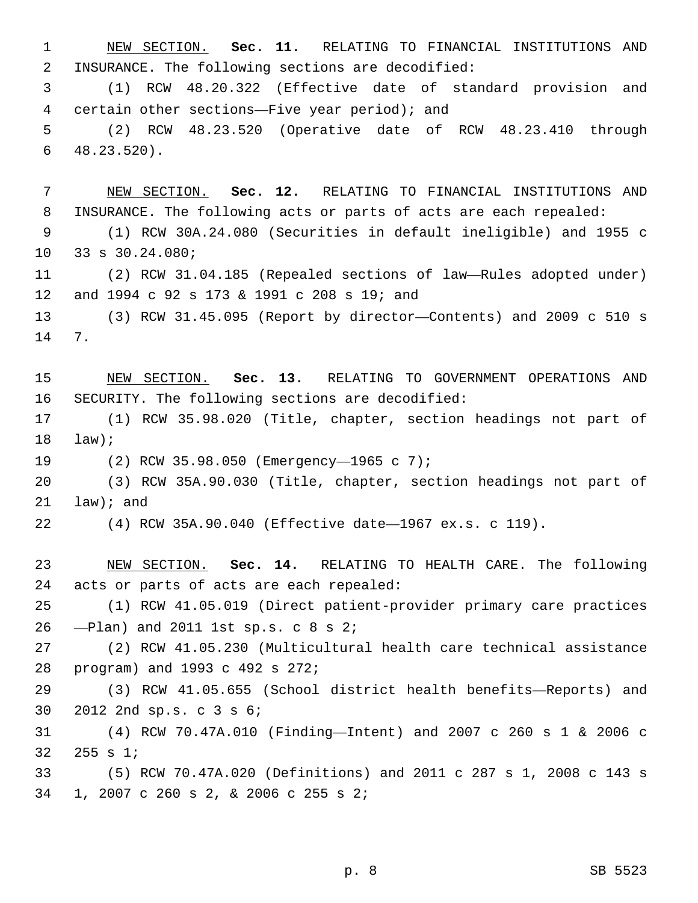NEW SECTION. **Sec. 11.** RELATING TO FINANCIAL INSTITUTIONS AND INSURANCE. The following sections are decodified:

 (1) RCW 48.20.322 (Effective date of standard provision and 4 certain other sections—Five year period); and

 (2) RCW 48.23.520 (Operative date of RCW 48.23.410 through  $48.23.520$ ).

 NEW SECTION. **Sec. 12.** RELATING TO FINANCIAL INSTITUTIONS AND INSURANCE. The following acts or parts of acts are each repealed:

 (1) RCW 30A.24.080 (Securities in default ineligible) and 1955 c 10 33 s 30.24.080;

 (2) RCW 31.04.185 (Repealed sections of law—Rules adopted under) 12 and 1994 c 92 s 173 & 1991 c 208 s 19; and

 (3) RCW 31.45.095 (Report by director—Contents) and 2009 c 510 s 14 7.

 NEW SECTION. **Sec. 13.** RELATING TO GOVERNMENT OPERATIONS AND SECURITY. The following sections are decodified:

 (1) RCW 35.98.020 (Title, chapter, section headings not part of  $law$ );

19 (2) RCW 35.98.050 (Emergency-1965 c 7);

 (3) RCW 35A.90.030 (Title, chapter, section headings not part of law); and

(4) RCW 35A.90.040 (Effective date—1967 ex.s. c 119).

 NEW SECTION. **Sec. 14.** RELATING TO HEALTH CARE. The following acts or parts of acts are each repealed:

 (1) RCW 41.05.019 (Direct patient-provider primary care practices  $-$ Plan) and 2011 1st sp.s. c 8 s 2;

 (2) RCW 41.05.230 (Multicultural health care technical assistance 28 program) and 1993 c 492 s 272;

 (3) RCW 41.05.655 (School district health benefits—Reports) and 30 2012 2nd sp.s. c 3 s 6;

 (4) RCW 70.47A.010 (Finding—Intent) and 2007 c 260 s 1 & 2006 c  $255 s 1;$ 

 (5) RCW 70.47A.020 (Definitions) and 2011 c 287 s 1, 2008 c 143 s 1, 2007 c 260 s 2, & 2006 c 255 s 2;34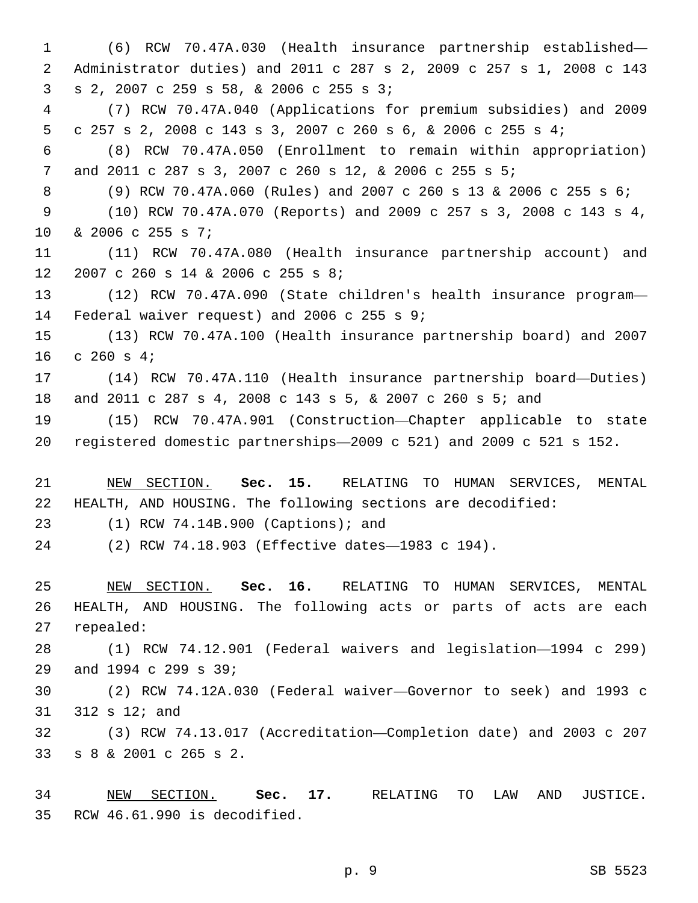(6) RCW 70.47A.030 (Health insurance partnership established— Administrator duties) and 2011 c 287 s 2, 2009 c 257 s 1, 2008 c 143  $3 \t S \t 2, 2007 \t C \t 259 \t S \t 58, \t \& \t 2006 \t C \t 255 \t S \t 3;$  (7) RCW 70.47A.040 (Applications for premium subsidies) and 2009 c 257 s 2, 2008 c 143 s 3, 2007 c 260 s 6, & 2006 c 255 s 4; (8) RCW 70.47A.050 (Enrollment to remain within appropriation) and 2011 c 287 s 3, 2007 c 260 s 12, & 2006 c 255 s 5; (9) RCW 70.47A.060 (Rules) and 2007 c 260 s 13 & 2006 c 255 s 6; (10) RCW 70.47A.070 (Reports) and 2009 c 257 s 3, 2008 c 143 s 4, 10 & 2006 c 255 s 7; (11) RCW 70.47A.080 (Health insurance partnership account) and 12 2007 c 260 s 14 & 2006 c 255 s 8; (12) RCW 70.47A.090 (State children's health insurance program— 14 Federal waiver request) and 2006 c 255 s  $9:14$  (13) RCW 70.47A.100 (Health insurance partnership board) and 2007 16 c 260 s  $4;$  (14) RCW 70.47A.110 (Health insurance partnership board—Duties) and 2011 c 287 s 4, 2008 c 143 s 5, & 2007 c 260 s 5; and (15) RCW 70.47A.901 (Construction—Chapter applicable to state registered domestic partnerships—2009 c 521) and 2009 c 521 s 152. NEW SECTION. **Sec. 15.** RELATING TO HUMAN SERVICES, MENTAL HEALTH, AND HOUSING. The following sections are decodified:

23 (1) RCW 74.14B.900 (Captions); and

(2) RCW 74.18.903 (Effective dates—1983 c 194).

 NEW SECTION. **Sec. 16.** RELATING TO HUMAN SERVICES, MENTAL HEALTH, AND HOUSING. The following acts or parts of acts are each repealed:

 (1) RCW 74.12.901 (Federal waivers and legislation—1994 c 299) 29 and 1994 c 299 s 39;

 (2) RCW 74.12A.030 (Federal waiver—Governor to seek) and 1993 c 31 312 s 12; and

 (3) RCW 74.13.017 (Accreditation—Completion date) and 2003 c 207 s 8 & 2001 c 265 s 2.33

 NEW SECTION. **Sec. 17.** RELATING TO LAW AND JUSTICE. RCW 46.61.990 is decodified.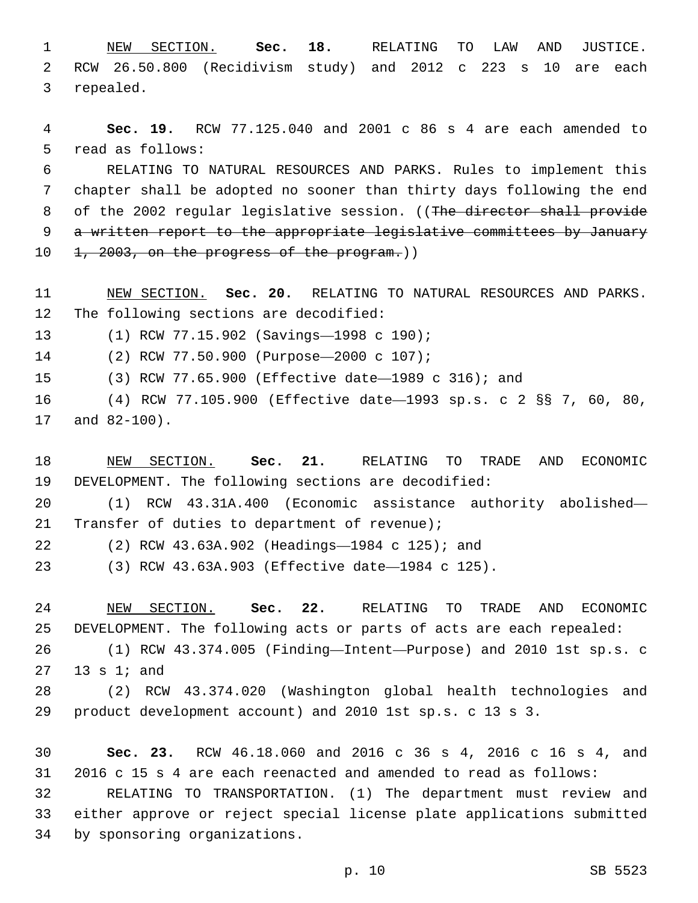NEW SECTION. **Sec. 18.** RELATING TO LAW AND JUSTICE. RCW 26.50.800 (Recidivism study) and 2012 c 223 s 10 are each repealed.

 **Sec. 19.** RCW 77.125.040 and 2001 c 86 s 4 are each amended to 5 read as follows:

 RELATING TO NATURAL RESOURCES AND PARKS. Rules to implement this chapter shall be adopted no sooner than thirty days following the end 8 of the 2002 regular legislative session. ((The director shall provide 9 a written report to the appropriate legislative committees by January 10 1, 2003, on the progress of the program.)

 NEW SECTION. **Sec. 20.** RELATING TO NATURAL RESOURCES AND PARKS. The following sections are decodified:

13 (1) RCW 77.15.902 (Savings-1998 c 190);

(2) RCW 77.50.900 (Purpose—2000 c 107);14

(3) RCW 77.65.900 (Effective date—1989 c 316); and

 (4) RCW 77.105.900 (Effective date—1993 sp.s. c 2 §§ 7, 60, 80, 17 and 82-100).

 NEW SECTION. **Sec. 21.** RELATING TO TRADE AND ECONOMIC DEVELOPMENT. The following sections are decodified:

 (1) RCW 43.31A.400 (Economic assistance authority abolished— Transfer of duties to department of revenue);

(2) RCW 43.63A.902 (Headings—1984 c 125); and22

(3) RCW 43.63A.903 (Effective date—1984 c 125).

 NEW SECTION. **Sec. 22.** RELATING TO TRADE AND ECONOMIC DEVELOPMENT. The following acts or parts of acts are each repealed:

 (1) RCW 43.374.005 (Finding—Intent—Purpose) and 2010 1st sp.s. c 13 s 1; and

 (2) RCW 43.374.020 (Washington global health technologies and product development account) and 2010 1st sp.s. c 13 s 3.

 **Sec. 23.** RCW 46.18.060 and 2016 c 36 s 4, 2016 c 16 s 4, and 2016 c 15 s 4 are each reenacted and amended to read as follows:

 RELATING TO TRANSPORTATION. (1) The department must review and either approve or reject special license plate applications submitted 34 by sponsoring organizations.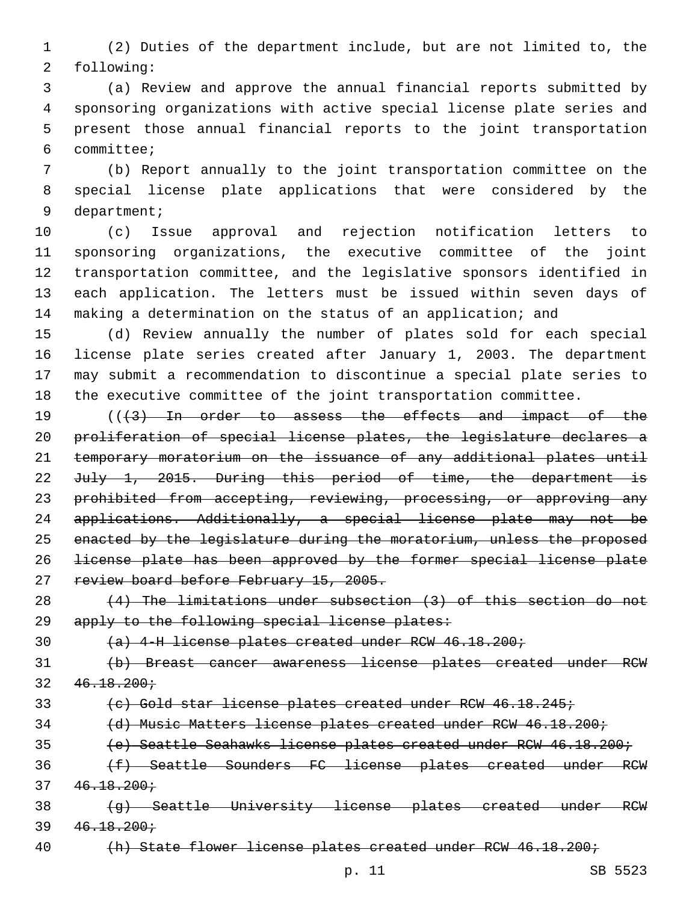(2) Duties of the department include, but are not limited to, the 2 following:

 (a) Review and approve the annual financial reports submitted by sponsoring organizations with active special license plate series and present those annual financial reports to the joint transportation committee;6

 (b) Report annually to the joint transportation committee on the special license plate applications that were considered by the 9 department;

 (c) Issue approval and rejection notification letters to sponsoring organizations, the executive committee of the joint transportation committee, and the legislative sponsors identified in each application. The letters must be issued within seven days of 14 making a determination on the status of an application; and

 (d) Review annually the number of plates sold for each special license plate series created after January 1, 2003. The department may submit a recommendation to discontinue a special plate series to the executive committee of the joint transportation committee.

19 (((43) In order to assess the effects and impact of the proliferation of special license plates, the legislature declares a temporary moratorium on the issuance of any additional plates until 22 July 1, 2015. During this period of time, the department is 23 prohibited from accepting, reviewing, processing, or approving any applications. Additionally, a special license plate may not be enacted by the legislature during the moratorium, unless the proposed license plate has been approved by the former special license plate 27 review board before February 15, 2005.

 (4) The limitations under subsection (3) of this section do not 29 apply to the following special license plates:

(a) 4-H license plates created under RCW 46.18.200;

 (b) Breast cancer awareness license plates created under RCW  $32 \quad 46.18.200 \div$ 

(c) Gold star license plates created under RCW 46.18.245;

(d) Music Matters license plates created under RCW 46.18.200;

(e) Seattle Seahawks license plates created under RCW 46.18.200;

 (f) Seattle Sounders FC license plates created under RCW  $37 \quad 46.18.200 \div$ 

38 (g) Seattle University license plates created under RCW  $39 \quad 46.18.200 \div$ 

40 (h) State flower license plates created under RCW 46.18.200;